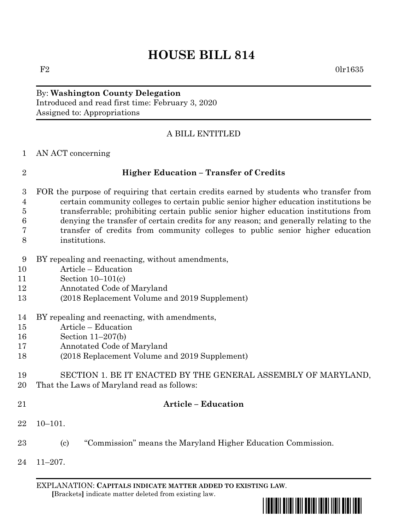# **HOUSE BILL 814**

### By: **Washington County Delegation** Introduced and read first time: February 3, 2020 Assigned to: Appropriations

### A BILL ENTITLED

AN ACT concerning

### **Higher Education – Transfer of Credits**

- FOR the purpose of requiring that certain credits earned by students who transfer from certain community colleges to certain public senior higher education institutions be transferrable; prohibiting certain public senior higher education institutions from denying the transfer of certain credits for any reason; and generally relating to the transfer of credits from community colleges to public senior higher education institutions.
- BY repealing and reenacting, without amendments,
- Article Education
- Section 10–101(c)
- Annotated Code of Maryland
- (2018 Replacement Volume and 2019 Supplement)
- BY repealing and reenacting, with amendments,
- Article Education
- Section 11–207(b)
- Annotated Code of Maryland
- (2018 Replacement Volume and 2019 Supplement)
- SECTION 1. BE IT ENACTED BY THE GENERAL ASSEMBLY OF MARYLAND,
- That the Laws of Maryland read as follows:
- 

## **Article – Education**

- 10–101.
- (c) "Commission" means the Maryland Higher Education Commission.
- 11–207.

EXPLANATION: **CAPITALS INDICATE MATTER ADDED TO EXISTING LAW**.  **[**Brackets**]** indicate matter deleted from existing law.